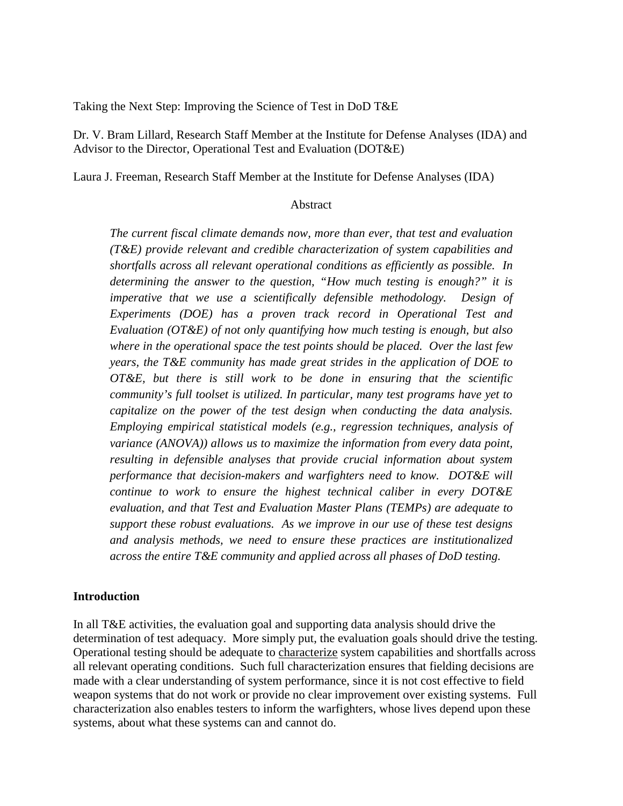Taking the Next Step: Improving the Science of Test in DoD T&E

Dr. V. Bram Lillard, Research Staff Member at the Institute for Defense Analyses (IDA) and Advisor to the Director, Operational Test and Evaluation (DOT&E)

Laura J. Freeman, Research Staff Member at the Institute for Defense Analyses (IDA)

#### Abstract

*The current fiscal climate demands now, more than ever, that test and evaluation (T&E) provide relevant and credible characterization of system capabilities and shortfalls across all relevant operational conditions as efficiently as possible. In determining the answer to the question, "How much testing is enough?" it is imperative that we use a scientifically defensible methodology. Design of Experiments (DOE) has a proven track record in Operational Test and Evaluation (OT&E) of not only quantifying how much testing is enough, but also where in the operational space the test points should be placed. Over the last few years, the T&E community has made great strides in the application of DOE to OT&E, but there is still work to be done in ensuring that the scientific community's full toolset is utilized. In particular, many test programs have yet to capitalize on the power of the test design when conducting the data analysis. Employing empirical statistical models (e.g., regression techniques, analysis of variance (ANOVA)) allows us to maximize the information from every data point, resulting in defensible analyses that provide crucial information about system performance that decision-makers and warfighters need to know. DOT&E will continue to work to ensure the highest technical caliber in every DOT&E evaluation, and that Test and Evaluation Master Plans (TEMPs) are adequate to support these robust evaluations. As we improve in our use of these test designs and analysis methods, we need to ensure these practices are institutionalized across the entire T&E community and applied across all phases of DoD testing.*

#### **Introduction**

In all T&E activities, the evaluation goal and supporting data analysis should drive the determination of test adequacy. More simply put, the evaluation goals should drive the testing. Operational testing should be adequate to characterize system capabilities and shortfalls across all relevant operating conditions. Such full characterization ensures that fielding decisions are made with a clear understanding of system performance, since it is not cost effective to field weapon systems that do not work or provide no clear improvement over existing systems. Full characterization also enables testers to inform the warfighters, whose lives depend upon these systems, about what these systems can and cannot do.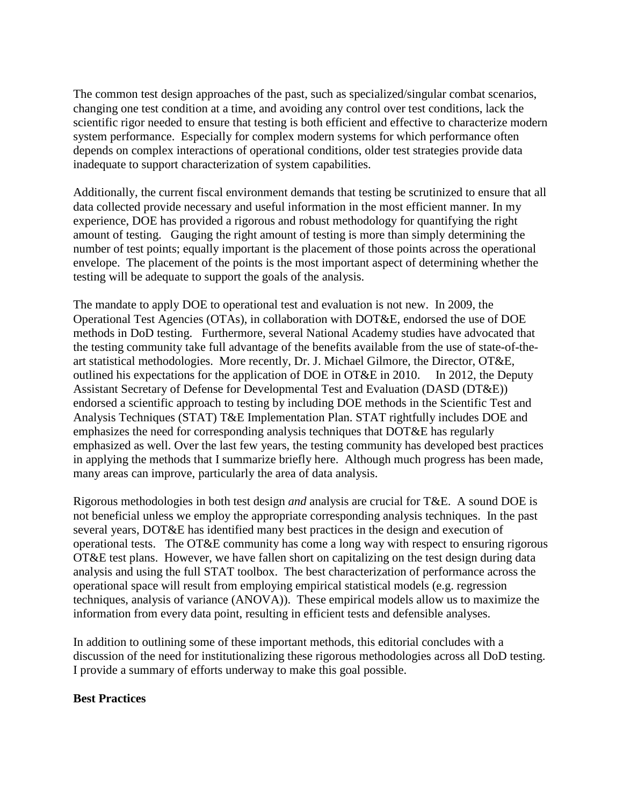The common test design approaches of the past, such as specialized/singular combat scenarios, changing one test condition at a time, and avoiding any control over test conditions, lack the scientific rigor needed to ensure that testing is both efficient and effective to characterize modern system performance. Especially for complex modern systems for which performance often depends on complex interactions of operational conditions, older test strategies provide data inadequate to support characterization of system capabilities.

Additionally, the current fiscal environment demands that testing be scrutinized to ensure that all data collected provide necessary and useful information in the most efficient manner. In my experience, DOE has provided a rigorous and robust methodology for quantifying the right amount of testing. Gauging the right amount of testing is more than simply determining the number of test points; equally important is the placement of those points across the operational envelope. The placement of the points is the most important aspect of determining whether the testing will be adequate to support the goals of the analysis.

The mandate to apply DOE to operational test and evaluation is not new. In 2009, the Operational Test Agencies (OTAs), in collaboration with DOT&E, endorsed the use of DOE methods in DoD testing. Furthermore, several National Academy studies have advocated that the testing community take full advantage of the benefits available from the use of state-of-theart statistical methodologies. More recently, Dr. J. Michael Gilmore, the Director, OT&E, outlined his expectations for the application of DOE in OT&E in 2010. In 2012, the Deputy Assistant Secretary of Defense for Developmental Test and Evaluation (DASD (DT&E)) endorsed a scientific approach to testing by including DOE methods in the Scientific Test and Analysis Techniques (STAT) T&E Implementation Plan. STAT rightfully includes DOE and emphasizes the need for corresponding analysis techniques that DOT&E has regularly emphasized as well. Over the last few years, the testing community has developed best practices in applying the methods that I summarize briefly here. Although much progress has been made, many areas can improve, particularly the area of data analysis.

Rigorous methodologies in both test design *and* analysis are crucial for T&E. A sound DOE is not beneficial unless we employ the appropriate corresponding analysis techniques. In the past several years, DOT&E has identified many best practices in the design and execution of operational tests. The OT&E community has come a long way with respect to ensuring rigorous OT&E test plans. However, we have fallen short on capitalizing on the test design during data analysis and using the full STAT toolbox. The best characterization of performance across the operational space will result from employing empirical statistical models (e.g. regression techniques, analysis of variance (ANOVA)). These empirical models allow us to maximize the information from every data point, resulting in efficient tests and defensible analyses.

In addition to outlining some of these important methods, this editorial concludes with a discussion of the need for institutionalizing these rigorous methodologies across all DoD testing. I provide a summary of efforts underway to make this goal possible.

#### **Best Practices**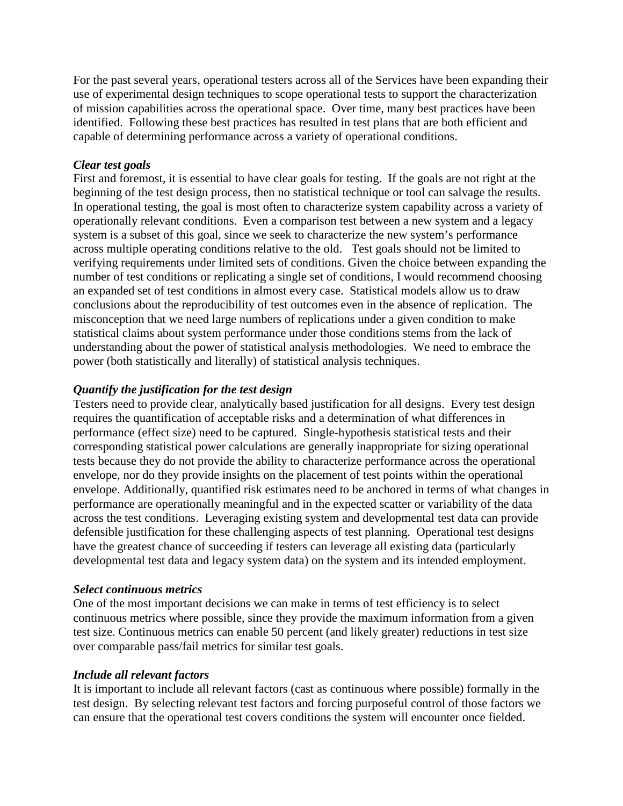For the past several years, operational testers across all of the Services have been expanding their use of experimental design techniques to scope operational tests to support the characterization of mission capabilities across the operational space. Over time, many best practices have been identified. Following these best practices has resulted in test plans that are both efficient and capable of determining performance across a variety of operational conditions.

#### *Clear test goals*

First and foremost, it is essential to have clear goals for testing. If the goals are not right at the beginning of the test design process, then no statistical technique or tool can salvage the results. In operational testing, the goal is most often to characterize system capability across a variety of operationally relevant conditions. Even a comparison test between a new system and a legacy system is a subset of this goal, since we seek to characterize the new system's performance across multiple operating conditions relative to the old. Test goals should not be limited to verifying requirements under limited sets of conditions. Given the choice between expanding the number of test conditions or replicating a single set of conditions, I would recommend choosing an expanded set of test conditions in almost every case. Statistical models allow us to draw conclusions about the reproducibility of test outcomes even in the absence of replication. The misconception that we need large numbers of replications under a given condition to make statistical claims about system performance under those conditions stems from the lack of understanding about the power of statistical analysis methodologies. We need to embrace the power (both statistically and literally) of statistical analysis techniques.

## *Quantify the justification for the test design*

Testers need to provide clear, analytically based justification for all designs. Every test design requires the quantification of acceptable risks and a determination of what differences in performance (effect size) need to be captured. Single-hypothesis statistical tests and their corresponding statistical power calculations are generally inappropriate for sizing operational tests because they do not provide the ability to characterize performance across the operational envelope, nor do they provide insights on the placement of test points within the operational envelope. Additionally, quantified risk estimates need to be anchored in terms of what changes in performance are operationally meaningful and in the expected scatter or variability of the data across the test conditions. Leveraging existing system and developmental test data can provide defensible justification for these challenging aspects of test planning. Operational test designs have the greatest chance of succeeding if testers can leverage all existing data (particularly developmental test data and legacy system data) on the system and its intended employment.

#### *Select continuous metrics*

One of the most important decisions we can make in terms of test efficiency is to select continuous metrics where possible, since they provide the maximum information from a given test size. Continuous metrics can enable 50 percent (and likely greater) reductions in test size over comparable pass/fail metrics for similar test goals.

#### *Include all relevant factors*

It is important to include all relevant factors (cast as continuous where possible) formally in the test design. By selecting relevant test factors and forcing purposeful control of those factors we can ensure that the operational test covers conditions the system will encounter once fielded.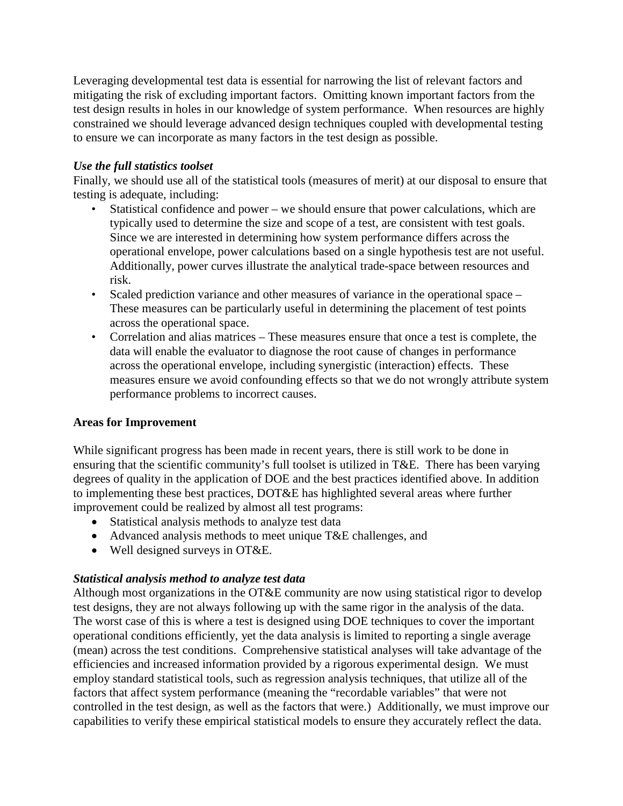Leveraging developmental test data is essential for narrowing the list of relevant factors and mitigating the risk of excluding important factors. Omitting known important factors from the test design results in holes in our knowledge of system performance. When resources are highly constrained we should leverage advanced design techniques coupled with developmental testing to ensure we can incorporate as many factors in the test design as possible.

## *Use the full statistics toolset*

Finally, we should use all of the statistical tools (measures of merit) at our disposal to ensure that testing is adequate, including:

- Statistical confidence and power we should ensure that power calculations, which are typically used to determine the size and scope of a test, are consistent with test goals. Since we are interested in determining how system performance differs across the operational envelope, power calculations based on a single hypothesis test are not useful. Additionally, power curves illustrate the analytical trade-space between resources and risk.
- Scaled prediction variance and other measures of variance in the operational space These measures can be particularly useful in determining the placement of test points across the operational space.
- Correlation and alias matrices These measures ensure that once a test is complete, the data will enable the evaluator to diagnose the root cause of changes in performance across the operational envelope, including synergistic (interaction) effects. These measures ensure we avoid confounding effects so that we do not wrongly attribute system performance problems to incorrect causes.

## **Areas for Improvement**

While significant progress has been made in recent years, there is still work to be done in ensuring that the scientific community's full toolset is utilized in T&E. There has been varying degrees of quality in the application of DOE and the best practices identified above. In addition to implementing these best practices, DOT&E has highlighted several areas where further improvement could be realized by almost all test programs:

- Statistical analysis methods to analyze test data
- Advanced analysis methods to meet unique T&E challenges, and
- Well designed surveys in OT&E.

## *Statistical analysis method to analyze test data*

Although most organizations in the OT&E community are now using statistical rigor to develop test designs, they are not always following up with the same rigor in the analysis of the data. The worst case of this is where a test is designed using DOE techniques to cover the important operational conditions efficiently, yet the data analysis is limited to reporting a single average (mean) across the test conditions. Comprehensive statistical analyses will take advantage of the efficiencies and increased information provided by a rigorous experimental design. We must employ standard statistical tools, such as regression analysis techniques, that utilize all of the factors that affect system performance (meaning the "recordable variables" that were not controlled in the test design, as well as the factors that were.) Additionally, we must improve our capabilities to verify these empirical statistical models to ensure they accurately reflect the data.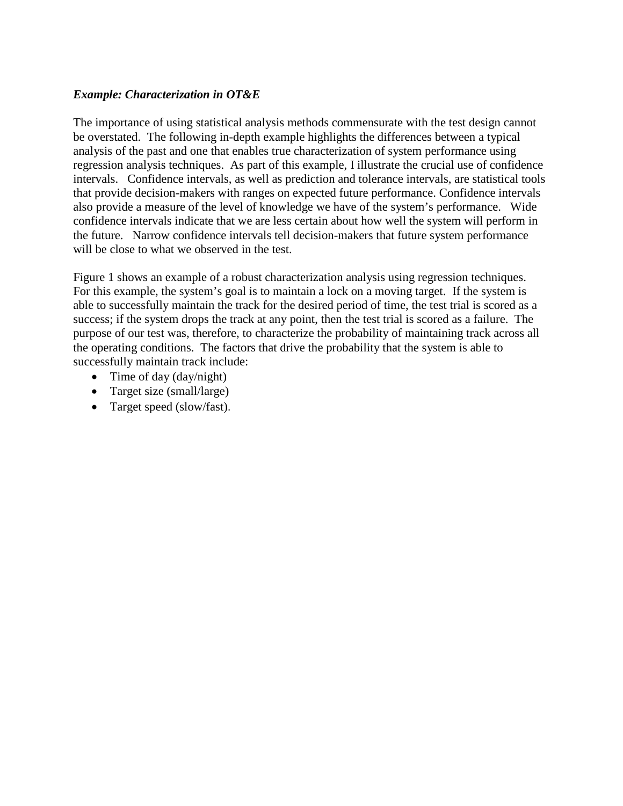#### *Example: Characterization in OT&E*

The importance of using statistical analysis methods commensurate with the test design cannot be overstated. The following in-depth example highlights the differences between a typical analysis of the past and one that enables true characterization of system performance using regression analysis techniques. As part of this example, I illustrate the crucial use of confidence intervals. Confidence intervals, as well as prediction and tolerance intervals, are statistical tools that provide decision-makers with ranges on expected future performance. Confidence intervals also provide a measure of the level of knowledge we have of the system's performance. Wide confidence intervals indicate that we are less certain about how well the system will perform in the future. Narrow confidence intervals tell decision-makers that future system performance will be close to what we observed in the test.

Figure 1 shows an example of a robust characterization analysis using regression techniques. For this example, the system's goal is to maintain a lock on a moving target. If the system is able to successfully maintain the track for the desired period of time, the test trial is scored as a success; if the system drops the track at any point, then the test trial is scored as a failure. The purpose of our test was, therefore, to characterize the probability of maintaining track across all the operating conditions. The factors that drive the probability that the system is able to successfully maintain track include:

- Time of day (day/night)
- Target size (small/large)
- Target speed (slow/fast).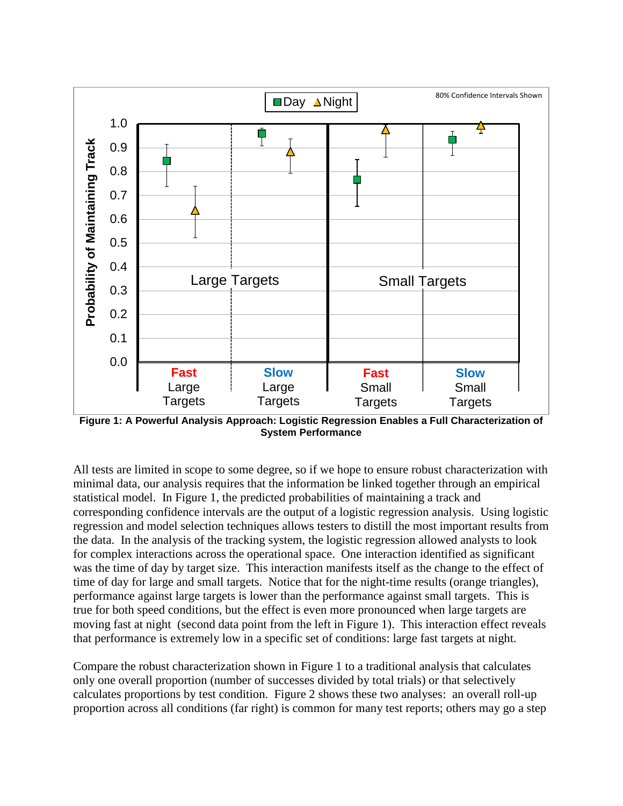

**Figure 1: A Powerful Analysis Approach: Logistic Regression Enables a Full Characterization of System Performance**

All tests are limited in scope to some degree, so if we hope to ensure robust characterization with minimal data, our analysis requires that the information be linked together through an empirical statistical model. In Figure 1, the predicted probabilities of maintaining a track and corresponding confidence intervals are the output of a logistic regression analysis. Using logistic regression and model selection techniques allows testers to distill the most important results from the data. In the analysis of the tracking system, the logistic regression allowed analysts to look for complex interactions across the operational space. One interaction identified as significant was the time of day by target size. This interaction manifests itself as the change to the effect of time of day for large and small targets. Notice that for the night-time results (orange triangles), performance against large targets is lower than the performance against small targets. This is true for both speed conditions, but the effect is even more pronounced when large targets are moving fast at night (second data point from the left in Figure 1). This interaction effect reveals that performance is extremely low in a specific set of conditions: large fast targets at night.

Compare the robust characterization shown in Figure 1 to a traditional analysis that calculates only one overall proportion (number of successes divided by total trials) or that selectively calculates proportions by test condition. Figure 2 shows these two analyses: an overall roll-up proportion across all conditions (far right) is common for many test reports; others may go a step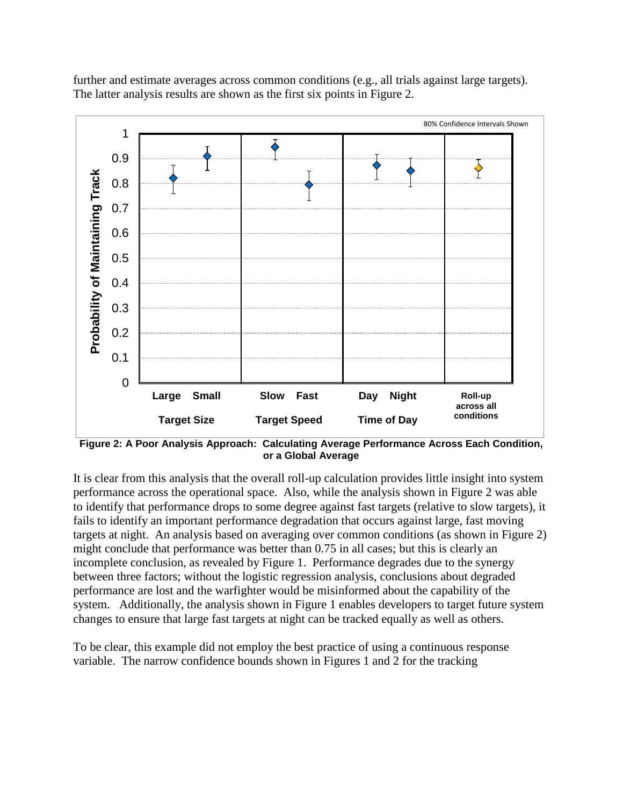further and estimate averages across common conditions (e.g., all trials against large targets). The latter analysis results are shown as the first six points in Figure 2.



**Figure 2: A Poor Analysis Approach: Calculating Average Performance Across Each Condition, or a Global Average**

It is clear from this analysis that the overall roll-up calculation provides little insight into system performance across the operational space. Also, while the analysis shown in Figure 2 was able to identify that performance drops to some degree against fast targets (relative to slow targets), it fails to identify an important performance degradation that occurs against large, fast moving targets at night. An analysis based on averaging over common conditions (as shown in Figure 2) might conclude that performance was better than 0.75 in all cases; but this is clearly an incomplete conclusion, as revealed by Figure 1. Performance degrades due to the synergy between three factors; without the logistic regression analysis, conclusions about degraded performance are lost and the warfighter would be misinformed about the capability of the system. Additionally, the analysis shown in Figure 1 enables developers to target future system changes to ensure that large fast targets at night can be tracked equally as well as others.

To be clear, this example did not employ the best practice of using a continuous response variable. The narrow confidence bounds shown in Figures 1 and 2 for the tracking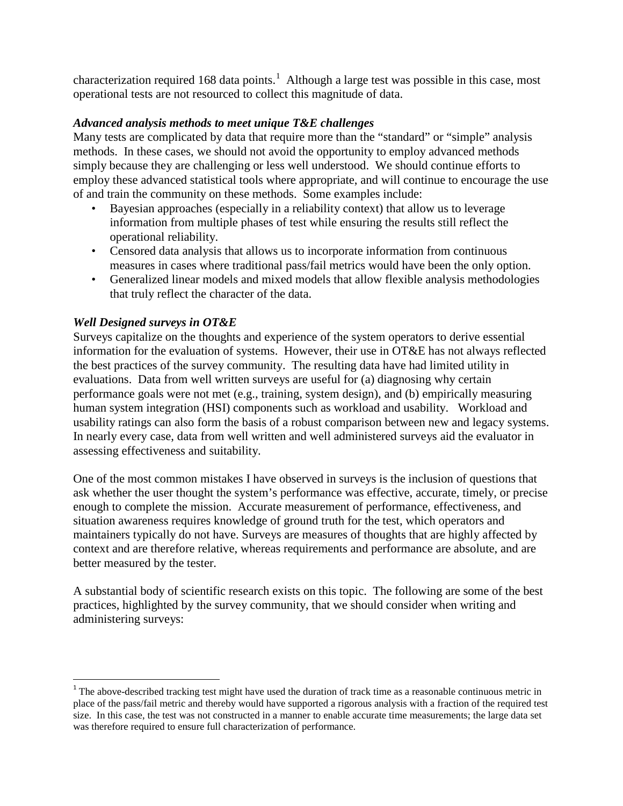characterization required [1](#page-7-0)68 data points.<sup>1</sup> Although a large test was possible in this case, most operational tests are not resourced to collect this magnitude of data.

## *Advanced analysis methods to meet unique T&E challenges*

Many tests are complicated by data that require more than the "standard" or "simple" analysis methods. In these cases, we should not avoid the opportunity to employ advanced methods simply because they are challenging or less well understood. We should continue efforts to employ these advanced statistical tools where appropriate, and will continue to encourage the use of and train the community on these methods. Some examples include:

- Bayesian approaches (especially in a reliability context) that allow us to leverage information from multiple phases of test while ensuring the results still reflect the operational reliability.
- Censored data analysis that allows us to incorporate information from continuous measures in cases where traditional pass/fail metrics would have been the only option.
- Generalized linear models and mixed models that allow flexible analysis methodologies that truly reflect the character of the data.

## *Well Designed surveys in OT&E*

l

Surveys capitalize on the thoughts and experience of the system operators to derive essential information for the evaluation of systems. However, their use in OT&E has not always reflected the best practices of the survey community. The resulting data have had limited utility in evaluations. Data from well written surveys are useful for (a) diagnosing why certain performance goals were not met (e.g., training, system design), and (b) empirically measuring human system integration (HSI) components such as workload and usability. Workload and usability ratings can also form the basis of a robust comparison between new and legacy systems. In nearly every case, data from well written and well administered surveys aid the evaluator in assessing effectiveness and suitability.

One of the most common mistakes I have observed in surveys is the inclusion of questions that ask whether the user thought the system's performance was effective, accurate, timely, or precise enough to complete the mission. Accurate measurement of performance, effectiveness, and situation awareness requires knowledge of ground truth for the test, which operators and maintainers typically do not have. Surveys are measures of thoughts that are highly affected by context and are therefore relative, whereas requirements and performance are absolute, and are better measured by the tester.

A substantial body of scientific research exists on this topic. The following are some of the best practices, highlighted by the survey community, that we should consider when writing and administering surveys:

<span id="page-7-0"></span> $1$  The above-described tracking test might have used the duration of track time as a reasonable continuous metric in place of the pass/fail metric and thereby would have supported a rigorous analysis with a fraction of the required test size. In this case, the test was not constructed in a manner to enable accurate time measurements; the large data set was therefore required to ensure full characterization of performance.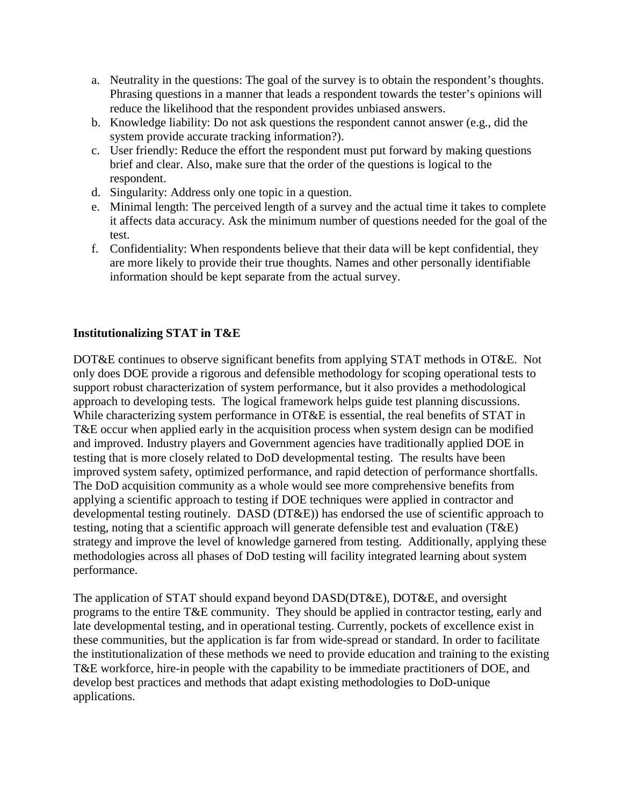- a. Neutrality in the questions: The goal of the survey is to obtain the respondent's thoughts. Phrasing questions in a manner that leads a respondent towards the tester's opinions will reduce the likelihood that the respondent provides unbiased answers.
- b. Knowledge liability: Do not ask questions the respondent cannot answer (e.g., did the system provide accurate tracking information?).
- c. User friendly: Reduce the effort the respondent must put forward by making questions brief and clear. Also, make sure that the order of the questions is logical to the respondent.
- d. Singularity: Address only one topic in a question.
- e. Minimal length: The perceived length of a survey and the actual time it takes to complete it affects data accuracy. Ask the minimum number of questions needed for the goal of the test.
- f. Confidentiality: When respondents believe that their data will be kept confidential, they are more likely to provide their true thoughts. Names and other personally identifiable information should be kept separate from the actual survey.

## **Institutionalizing STAT in T&E**

DOT&E continues to observe significant benefits from applying STAT methods in OT&E. Not only does DOE provide a rigorous and defensible methodology for scoping operational tests to support robust characterization of system performance, but it also provides a methodological approach to developing tests. The logical framework helps guide test planning discussions. While characterizing system performance in OT&E is essential, the real benefits of STAT in T&E occur when applied early in the acquisition process when system design can be modified and improved. Industry players and Government agencies have traditionally applied DOE in testing that is more closely related to DoD developmental testing. The results have been improved system safety, optimized performance, and rapid detection of performance shortfalls. The DoD acquisition community as a whole would see more comprehensive benefits from applying a scientific approach to testing if DOE techniques were applied in contractor and developmental testing routinely. DASD (DT&E)) has endorsed the use of scientific approach to testing, noting that a scientific approach will generate defensible test and evaluation (T&E) strategy and improve the level of knowledge garnered from testing. Additionally, applying these methodologies across all phases of DoD testing will facility integrated learning about system performance.

The application of STAT should expand beyond DASD(DT&E), DOT&E, and oversight programs to the entire T&E community. They should be applied in contractor testing, early and late developmental testing, and in operational testing. Currently, pockets of excellence exist in these communities, but the application is far from wide-spread or standard. In order to facilitate the institutionalization of these methods we need to provide education and training to the existing T&E workforce, hire-in people with the capability to be immediate practitioners of DOE, and develop best practices and methods that adapt existing methodologies to DoD-unique applications.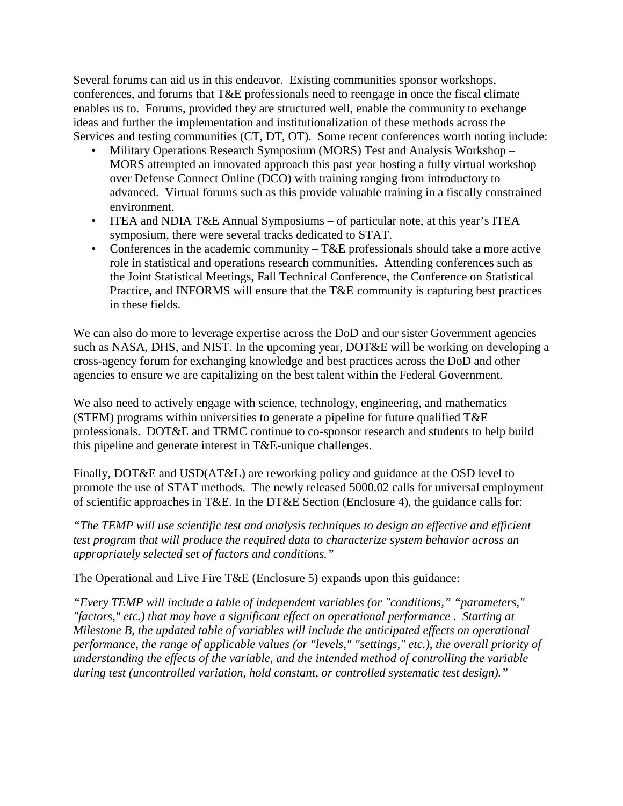Several forums can aid us in this endeavor. Existing communities sponsor workshops, conferences, and forums that T&E professionals need to reengage in once the fiscal climate enables us to. Forums, provided they are structured well, enable the community to exchange ideas and further the implementation and institutionalization of these methods across the Services and testing communities (CT, DT, OT). Some recent conferences worth noting include:

- Military Operations Research Symposium (MORS) Test and Analysis Workshop MORS attempted an innovated approach this past year hosting a fully virtual workshop over Defense Connect Online (DCO) with training ranging from introductory to advanced. Virtual forums such as this provide valuable training in a fiscally constrained environment.
- ITEA and NDIA T&E Annual Symposiums of particular note, at this year's ITEA symposium, there were several tracks dedicated to STAT.
- Conferences in the academic community  $-T\&E$  professionals should take a more active role in statistical and operations research communities. Attending conferences such as the Joint Statistical Meetings, Fall Technical Conference, the Conference on Statistical Practice, and INFORMS will ensure that the T&E community is capturing best practices in these fields.

We can also do more to leverage expertise across the DoD and our sister Government agencies such as NASA, DHS, and NIST. In the upcoming year, DOT&E will be working on developing a cross-agency forum for exchanging knowledge and best practices across the DoD and other agencies to ensure we are capitalizing on the best talent within the Federal Government.

We also need to actively engage with science, technology, engineering, and mathematics (STEM) programs within universities to generate a pipeline for future qualified T&E professionals. DOT&E and TRMC continue to co-sponsor research and students to help build this pipeline and generate interest in T&E-unique challenges.

Finally, DOT&E and USD(AT&L) are reworking policy and guidance at the OSD level to promote the use of STAT methods. The newly released 5000.02 calls for universal employment of scientific approaches in T&E. In the DT&E Section (Enclosure 4), the guidance calls for:

*"The TEMP will use scientific test and analysis techniques to design an effective and efficient test program that will produce the required data to characterize system behavior across an appropriately selected set of factors and conditions."*

The Operational and Live Fire T&E (Enclosure 5) expands upon this guidance:

*"Every TEMP will include a table of independent variables (or "conditions," "parameters," "factors," etc.) that may have a significant effect on operational performance . Starting at Milestone B, the updated table of variables will include the anticipated effects on operational performance, the range of applicable values (or "levels," "settings," etc.), the overall priority of understanding the effects of the variable, and the intended method of controlling the variable during test (uncontrolled variation, hold constant, or controlled systematic test design)."*